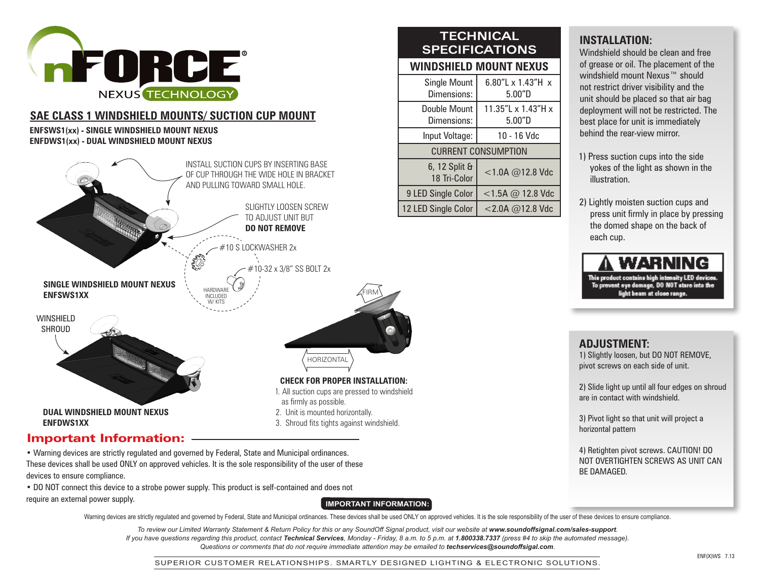

# **SAE CLASS 1 WINDSHIELD MOUNTS/ SUCTION CUP MOUNT**

#### **ENFSWS1(xx) - SINGLE WINDSHIELD MOUNT NEXUS ENFDWS1(xx) - DUAL WINDSHIELD MOUNT NEXUS**



• Warning devices are strictly regulated and governed by Federal, State and Municipal ordinances. These devices shall be used ONLY on approved vehicles. It is the sole responsibility of the user of these devices to ensure compliance.

• DO NOT connect this device to a strobe power supply. This product is self-contained and does not require an external power supply.

### **IMPORTANT INFORMATION:**

Warning devices are strictly regulated and governed by Federal, State and Municipal ordinances. These devices shall be used ONLY on approved vehicles. It is the sole responsibility of the user of these devices to ensure co

To review our Limited Warranty Statement & Return Policy for this or any SoundOff Signal product, visit our website at www.soundoffsignal.com/sales-support. *If you have questions regarding this product, contact Technical Services, Monday - Friday, 8 a.m. to 5 p.m. at 1.800338.7337 (press #4 to skip the automated message). Questions or comments that do not require immediate attention may be emailed to techservices@soundoffsigal.com.*

# **TECHNICAL SPECIFICATIONS**

# **WINDSHIELD MOUNT NEXUS**

| <b>Single Mount</b><br>Dimensions: | 6.80"L $\times$ 1.43"H $\times$<br>5.00"D |  |  |  |  |  |  |
|------------------------------------|-------------------------------------------|--|--|--|--|--|--|
| Double Mount<br>Dimensions:        | 11.35"L x 1.43"H x<br>5.00"D              |  |  |  |  |  |  |
| Input Voltage:                     | 10 - 16 Vdc                               |  |  |  |  |  |  |
| <b>CURRENT CONSUMPTION</b>         |                                           |  |  |  |  |  |  |
| 6, 12 Split &<br>18 Tri-Color      | $<$ 1.0A @12.8 Vdc                        |  |  |  |  |  |  |
| 9 LED Single Color                 | $<$ 1.5A @ 12.8 Vdc                       |  |  |  |  |  |  |
| 12 LED Single Color                | $<$ 2.0A @12.8 Vdc                        |  |  |  |  |  |  |

# **INSTALLATION:**

Windshield should be clean and free of grease or oil. The placement of the windshield mount Nexus™ should not restrict driver visibility and the unit should be placed so that air bag deployment will not be restricted. The best place for unit is immediately behind the rear-view mirror.

- 1) Press suction cups into the side yokes of the light as shown in the illustration.
- 2) Lightly moisten suction cups and press unit firmly in place by pressing the domed shape on the back of each cup.



### **ADJUSTMENT:**

1) Slightly loosen, but DO NOT REMOVE, pivot screws on each side of unit.

2) Slide light up until all four edges on shroud are in contact with windshield.

3) Pivot light so that unit will project a horizontal pattern

4) Retighten pivot screws. CAUTION! DO NOT OVERTIGHTEN SCREWS AS UNIT CAN BE DAMAGED.

SUPERIOR CUSTOMER RELATIONSHIPS. SMARTLY DESIGNED LIGHTING & ELECTRONIC SOLUTIONS.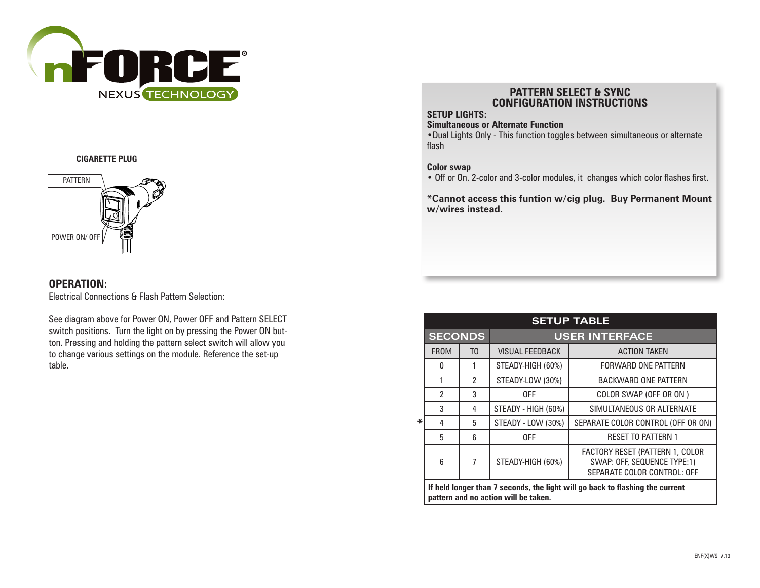

#### **CIGARETTE PLUG**



### **OPERATION:**

Electrical Connections & Flash Pattern Selection:

See diagram above for Power ON, Power OFF and Pattern SELECT switch positions. Turn the light on by pressing the Power ON button. Pressing and holding the pattern select switch will allow you to change various settings on the module. Reference the set-up table.

### **PATTERN SELECT & SYNC CONFIGURATION INSTRUCTIONS**

### **SETUP LIGHTS:**

#### **Simultaneous or Alternate Function**

**•**Dual Lights Only - This function toggles between simultaneous or alternate flash

#### **Color swap**

**•** Off or On. 2-color and 3-color modules, it changes which color flashes first.

**\*Cannot access this funtion w/cig plug. Buy Permanent Mount w/wires instead.**

| <b>SETUP TABLE</b> |                                                                                                                       |                |                                                                                                      |                                    |  |  |  |  |  |
|--------------------|-----------------------------------------------------------------------------------------------------------------------|----------------|------------------------------------------------------------------------------------------------------|------------------------------------|--|--|--|--|--|
|                    | <b>SECONDS</b>                                                                                                        |                | <b>USER INTERFACE</b>                                                                                |                                    |  |  |  |  |  |
| ∗                  | <b>FROM</b>                                                                                                           | T <sub>0</sub> | <b>VISUAL FEEDBACK</b>                                                                               | <b>ACTION TAKEN</b>                |  |  |  |  |  |
|                    | 0                                                                                                                     | 1              | STEADY-HIGH (60%)                                                                                    | FORWARD ONE PATTERN                |  |  |  |  |  |
|                    | 1                                                                                                                     | $\mathfrak z$  | STEADY-LOW (30%)                                                                                     | <b>BACKWARD ONE PATTERN</b>        |  |  |  |  |  |
|                    | 2                                                                                                                     | 3              | 0FF                                                                                                  | COLOR SWAP (OFF OR ON)             |  |  |  |  |  |
|                    | 3                                                                                                                     | 4              | STEADY - HIGH (60%)                                                                                  | SIMULTANEOUS OR ALTERNATE          |  |  |  |  |  |
|                    | 4                                                                                                                     | 5              | STEADY - LOW (30%)                                                                                   | SEPARATE COLOR CONTROL (OFF OR ON) |  |  |  |  |  |
|                    | 5                                                                                                                     | 6              | 0FF                                                                                                  | <b>RESET TO PATTERN 1</b>          |  |  |  |  |  |
|                    | $6\overline{6}$                                                                                                       | $\overline{7}$ | <b>FACTORY RESET (PATTERN 1, COLOR</b><br>SWAP: OFF, SEQUENCE TYPE:1)<br>SEPARATE COLOR CONTROL: OFF |                                    |  |  |  |  |  |
|                    | If held longer than 7 seconds, the light will go back to flashing the current<br>pattern and no action will be taken. |                |                                                                                                      |                                    |  |  |  |  |  |